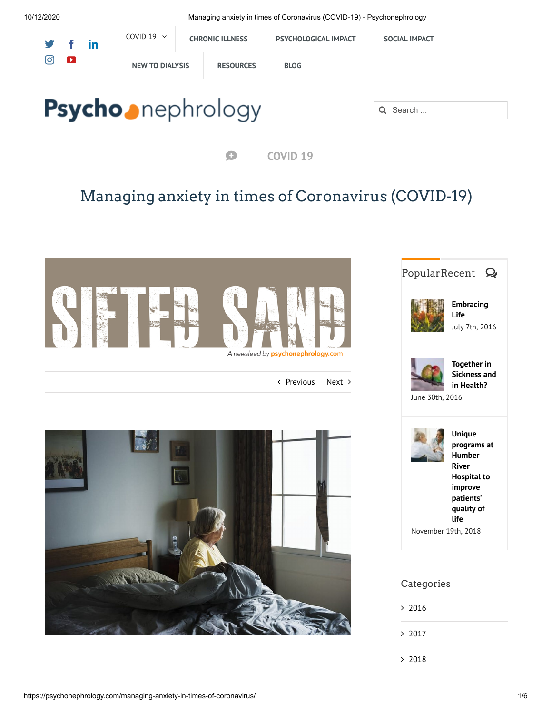10/12/2020 Managing anxiety in times of Coronavirus (COVID-19) - Psychonephrology

| y f<br>- in              | COVID 19 $\sim$<br><b>CHRONIC ILLNESS</b> |                  | <b>PSYCHOLOGICAL IMPACT</b> | <b>SOCIAL IMPACT</b> |
|--------------------------|-------------------------------------------|------------------|-----------------------------|----------------------|
| ල<br>$\mathbf \Omega$    | <b>NEW TO DIALYSIS</b>                    | <b>RESOURCES</b> | <b>BLOG</b>                 |                      |
| <b>Psycho</b> nephrology |                                           |                  |                             | Q Search             |

## Managing anxiety in times of Coronavirus (COVID-19)

**[COVID](https://psychonephrology.com/covid-19/)** 19



< [Previous](https://psychonephrology.com/coronavirus-how-to-protect-yourself-and-others/) [Next](https://psychonephrology.com/music-and-brain/) >







**Unique [programs](https://psychonephrology.com/unique-programs-at-hrh-to-improve-patients-qol/) at Humber River Hospital to improve patients' quality of life**

November 19th, 2018

## Categories

 $> 2016$  $> 2016$ 

[2017](https://psychonephrology.com/2017/)

 $> 2018$  $> 2018$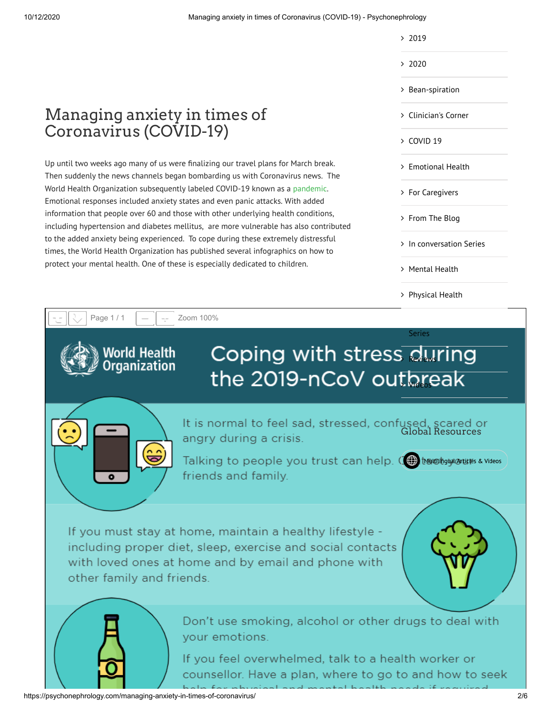- $> 2019$  $> 2019$
- $> 2020$  $> 2020$
- 
- > [Bean-spiration](https://psychonephrology.com/bean-spiration/)
- [Clinician's](https://psychonephrology.com/clinicians-corner/) Corner
- $>$  [COVID](https://psychonephrology.com/covid-19/) 19
- > [Emotional](https://psychonephrology.com/mindfulness/) Health
- > For [Caregivers](https://psychonephrology.com/caregiver/)
- [From The](https://psychonephrology.com/from-the-blog/) Blog
- > In [conversation](https://psychonephrology.com/in-conversation-series/) Series
- [Mental](https://psychonephrology.com/mental-health/) Health
- [Physical](https://psychonephrology.com/physical-health/) Health



https://psychonephrology.com/managing-anxiety-in-times-of-coronavirus/ 2/6

Managing anxiety in times of

Up until two weeks ago many of us were finalizing our travel plans for March break. Then suddenly the news channels began bombarding us with Coronavirus news. The World Health Organization subsequently labeled COVID-19 known as a [pandemic](https://www.who.int/emergencies/diseases/novel-coronavirus-2019/events-as-they-happen). Emotional responses included anxiety states and even panic attacks. With added information that people over 60 and those with other underlying health conditions, including hypertension and diabetes mellitus, are more vulnerable has also contributed to the added anxiety being experienced. To cope during these extremely distressful times, the World Health Organization has published several infographics on how to protect your mental health. One of these is especially dedicated to children.

Coronavirus (COVID-19)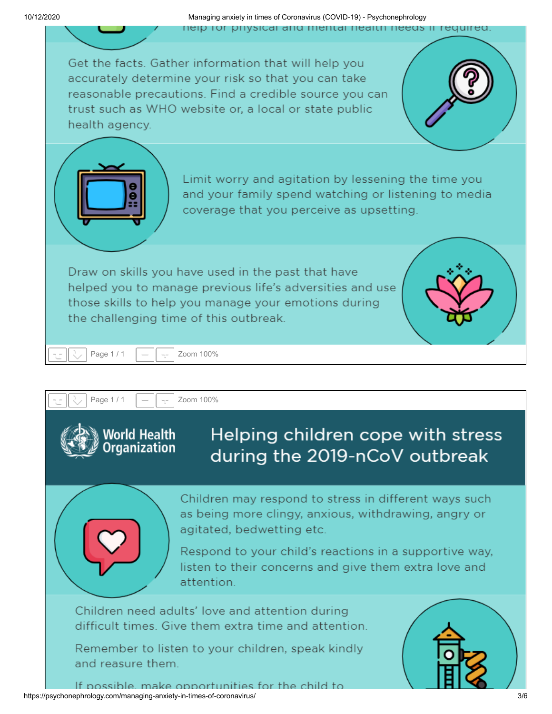10/12/2020 Managing anxiety in times of Coronavirus (COVID-19) - Psychonephrology neip for physical and mental nealth needs if req

Get the facts. Gather information that will help you accurately determine your risk so that you can take reasonable precautions. Find a credible source you can trust such as WHO website or, a local or state public health agency. Limit worry and agitation by lessening the time you and your family spend watching or listening to media coverage that you perceive as upsetting. Draw on skills you have used in the past that have helped you to manage previous life's adversities and use those skills to help you manage your emotions during the challenging time of this outbreak. Page 1 / 1  $\| - \| -$  Zoom 100% Page  $1/1$   $\| - \| - \|$ Helping children cope with stress *l*orld Health aanization during the 2019-nCoV outbreak Children may respond to stress in different ways such

as being more clingy, anxious, withdrawing, angry or agitated, bedwetting etc.

Respond to your child's reactions in a supportive way. listen to their concerns and give them extra love and attention.

Children need adults' love and attention during difficult times. Give them extra time and attention.

Remember to listen to your children, speak kindly and reasure them.



If possible, make opportunities for the child to https://psychonephrology.com/managing-anxiety-in-times-of-coronavirus/ 3/6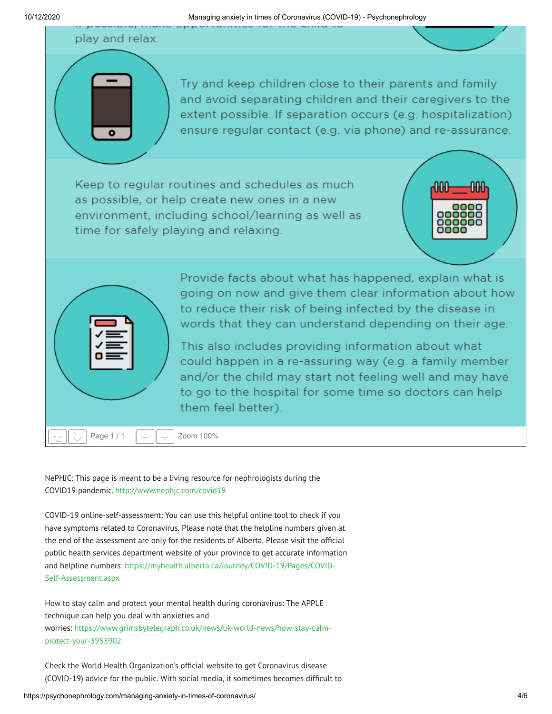play and relax.

Try and keep children close to their parents and family and avoid separating children and their caregivers to the extent possible. If separation occurs (e.g. hospitalization) ensure regular contact (e.g. via phone) and re-assurance.

Keep to regular routines and schedules as much as possible, or help create new ones in a new environment, including school/learning as well as time for safely playing and relaxing.





Provide facts about what has happened, explain what is going on now and give them clear information about how to reduce their risk of being infected by the disease in words that they can understand depending on their age.

This also includes providing information about what could happen in a re-assuring way (e.g. a family member and/or the child may start not feeling well and may have to go to the hospital for some time so doctors can help them feel better).

NePHJC: This page is meant to be a living resource for nephrologists during the COVID19 pandemic. <http://www.nephjc.com/covid19>

COVID-19 online-self-assessment: You can use this helpful online tool to check if you have symptoms related to Coronavirus. Please note that the helpline numbers given at the end of the assessment are only for the residents of Alberta. Please visit the official public health services department website of your province to get accurate information and helpline numbers: [https://myhealth.alberta.ca/Journey/COVID-19/Pages/COVID-](https://myhealth.alberta.ca/Journey/COVID-19/Pages/COVID-Self-Assessment.aspx)Self-Assessment.aspx

How to stay calm and protect your mental health during coronavirus: The APPLE technique can help you deal with anxieties and worries: [https://www.grimsbytelegraph.co.uk/news/uk-world-news/how-stay-calm](https://www.grimsbytelegraph.co.uk/news/uk-world-news/how-stay-calm-protect-your-3953902)protect-your-3953902

Check the World Health Organization's official website to get Coronavirus disease (COVID-19) advice for the public. With social media, it sometimes becomes difcult to